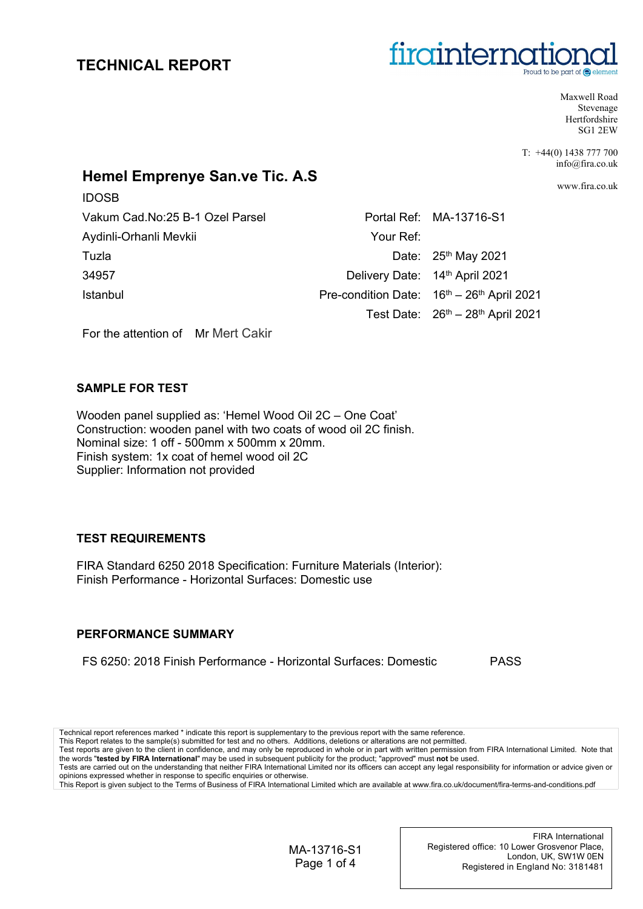

Maxwell Road Stevenage **Hertfordshire** SG1 2EW

T: +44(0) 1438 777 700 info@fira.co.uk

www.fira.co.uk

## **Hemel Emprenye San.ve Tic. A.S**

| Vakum Cad.No:25 B-1 Ozel Parsel |           | Portal Ref: MA-13716-S1                      |
|---------------------------------|-----------|----------------------------------------------|
| Aydinli-Orhanli Mevkii          | Your Ref: |                                              |
| Tuzla                           |           | Date: 25 <sup>th</sup> May 2021              |
| 34957                           |           | Delivery Date: 14th April 2021               |
| Istanbul                        |           | Pre-condition Date: $16th - 26th$ April 2021 |
|                                 |           | Test Date: $26th - 28th$ April 2021          |
|                                 |           |                                              |

For the attention of Mr Mert Cakir

### **SAMPLE FOR TEST**

IDOSB

Wooden panel supplied as: 'Hemel Wood Oil 2C – One Coat' Construction: wooden panel with two coats of wood oil 2C finish. Nominal size: 1 off - 500mm x 500mm x 20mm. Finish system: 1x coat of hemel wood oil 2C Supplier: Information not provided

## **TEST REQUIREMENTS**

FIRA Standard 6250 2018 Specification: Furniture Materials (Interior): Finish Performance - Horizontal Surfaces: Domestic use

## **PERFORMANCE SUMMARY**

FS 6250: 2018 Finish Performance - Horizontal Surfaces: Domestic PASS

Technical report references marked \* indicate this report is supplementary to the previous report with the same reference.

This Report relates to the sample(s) submitted for test and no others. Additions, deletions or alterations are not permitted. Test reports are given to the client in confidence, and may only be reproduced in whole or in part with written permission from FIRA International Limited. Note that the words "**tested by FIRA International**" may be used in subsequent publicity for the product; "approved" must **not** be used.

Tests are carried out on the understanding that neither FIRA International Limited nor its officers can accept any legal responsibility for information or advice given or opinions expressed whether in response to specific enquiries or otherwise.

This Report is given subject to the Terms of Business of FIRA International Limited which are available at www.fira.co.uk/document/fira-terms-and-conditions.pdf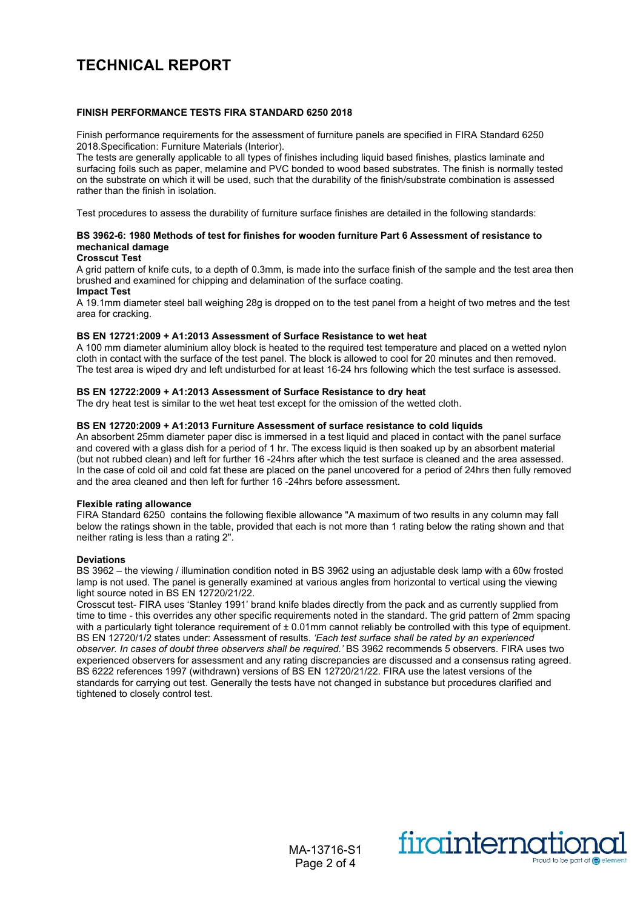#### **FINISH PERFORMANCE TESTS FIRA STANDARD 6250 2018**

Finish performance requirements for the assessment of furniture panels are specified in FIRA Standard 6250 2018.Specification: Furniture Materials (Interior).

The tests are generally applicable to all types of finishes including liquid based finishes, plastics laminate and surfacing foils such as paper, melamine and PVC bonded to wood based substrates. The finish is normally tested on the substrate on which it will be used, such that the durability of the finish/substrate combination is assessed rather than the finish in isolation.

Test procedures to assess the durability of furniture surface finishes are detailed in the following standards:

#### **BS 3962-6: 1980 Methods of test for finishes for wooden furniture Part 6 Assessment of resistance to mechanical damage**

#### **Crosscut Test**

A grid pattern of knife cuts, to a depth of 0.3mm, is made into the surface finish of the sample and the test area then brushed and examined for chipping and delamination of the surface coating.

#### **Impact Test**

A 19.1mm diameter steel ball weighing 28g is dropped on to the test panel from a height of two metres and the test area for cracking.

#### **BS EN 12721:2009 + A1:2013 Assessment of Surface Resistance to wet heat**

A 100 mm diameter aluminium alloy block is heated to the required test temperature and placed on a wetted nylon cloth in contact with the surface of the test panel. The block is allowed to cool for 20 minutes and then removed. The test area is wiped dry and left undisturbed for at least 16-24 hrs following which the test surface is assessed.

#### **BS EN 12722:2009 + A1:2013 Assessment of Surface Resistance to dry heat**

The dry heat test is similar to the wet heat test except for the omission of the wetted cloth.

#### **BS EN 12720:2009 + A1:2013 Furniture Assessment of surface resistance to cold liquids**

An absorbent 25mm diameter paper disc is immersed in a test liquid and placed in contact with the panel surface and covered with a glass dish for a period of 1 hr. The excess liquid is then soaked up by an absorbent material (but not rubbed clean) and left for further 16 -24hrs after which the test surface is cleaned and the area assessed. In the case of cold oil and cold fat these are placed on the panel uncovered for a period of 24hrs then fully removed and the area cleaned and then left for further 16 -24hrs before assessment.

#### **Flexible rating allowance**

FIRA Standard 6250 contains the following flexible allowance "A maximum of two results in any column may fall below the ratings shown in the table, provided that each is not more than 1 rating below the rating shown and that neither rating is less than a rating 2".

#### **Deviations**

BS 3962 – the viewing / illumination condition noted in BS 3962 using an adjustable desk lamp with a 60w frosted lamp is not used. The panel is generally examined at various angles from horizontal to vertical using the viewing light source noted in BS EN 12720/21/22.

Crosscut test- FIRA uses 'Stanley 1991' brand knife blades directly from the pack and as currently supplied from time to time - this overrides any other specific requirements noted in the standard. The grid pattern of 2mm spacing with a particularly tight tolerance requirement of  $\pm$  0.01mm cannot reliably be controlled with this type of equipment. BS EN 12720/1/2 states under: Assessment of results. *'Each test surface shall be rated by an experienced observer. In cases of doubt three observers shall be required.'* BS 3962 recommends 5 observers. FIRA uses two experienced observers for assessment and any rating discrepancies are discussed and a consensus rating agreed. BS 6222 references 1997 (withdrawn) versions of BS EN 12720/21/22. FIRA use the latest versions of the standards for carrying out test. Generally the tests have not changed in substance but procedures clarified and tightened to closely control test.

> MA-13716-S1 Page 2 of 4

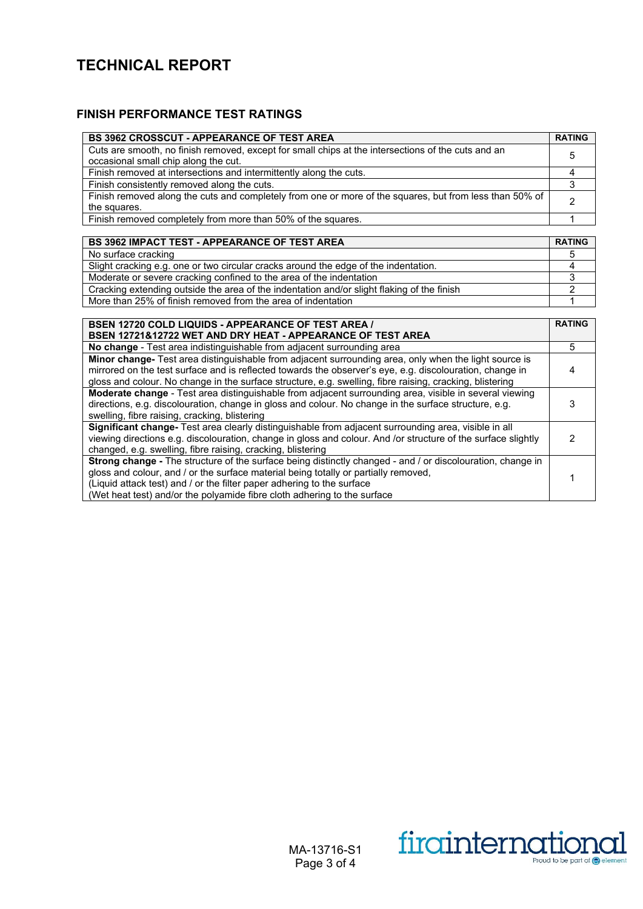## **FINISH PERFORMANCE TEST RATINGS**

| <b>BS 3962 CROSSCUT - APPEARANCE OF TEST AREA</b>                                                                                          |   |
|--------------------------------------------------------------------------------------------------------------------------------------------|---|
| Cuts are smooth, no finish removed, except for small chips at the intersections of the cuts and an<br>occasional small chip along the cut. |   |
| Finish removed at intersections and intermittently along the cuts.                                                                         |   |
| Finish consistently removed along the cuts.                                                                                                |   |
| Finish removed along the cuts and completely from one or more of the squares, but from less than 50% of<br>the squares.                    | ◠ |
| Finish removed completely from more than 50% of the squares.                                                                               |   |

## **BS 3962 IMPACT TEST - APPEARANCE OF TEST AREA RATING**

| No surface cracking                                                                        |  |
|--------------------------------------------------------------------------------------------|--|
| Slight cracking e.g. one or two circular cracks around the edge of the indentation.        |  |
| Moderate or severe cracking confined to the area of the indentation                        |  |
| Cracking extending outside the area of the indentation and/or slight flaking of the finish |  |
| More than 25% of finish removed from the area of indentation                               |  |

| <b>BSEN 12720 COLD LIQUIDS - APPEARANCE OF TEST AREA /</b>                                                    |   |
|---------------------------------------------------------------------------------------------------------------|---|
| BSEN 12721&12722 WET AND DRY HEAT - APPEARANCE OF TEST AREA                                                   |   |
| No change - Test area indistinguishable from adjacent surrounding area                                        | 5 |
| Minor change- Test area distinguishable from adjacent surrounding area, only when the light source is         |   |
| mirrored on the test surface and is reflected towards the observer's eye, e.g. discolouration, change in      |   |
| gloss and colour. No change in the surface structure, e.g. swelling, fibre raising, cracking, blistering      |   |
| Moderate change - Test area distinguishable from adjacent surrounding area, visible in several viewing        |   |
| directions, e.g. discolouration, change in gloss and colour. No change in the surface structure, e.g.         |   |
| swelling, fibre raising, cracking, blistering                                                                 |   |
| Significant change- Test area clearly distinguishable from adjacent surrounding area, visible in all          |   |
| viewing directions e.g. discolouration, change in gloss and colour. And /or structure of the surface slightly |   |
| changed, e.g. swelling, fibre raising, cracking, blistering                                                   |   |
| Strong change - The structure of the surface being distinctly changed - and / or discolouration, change in    |   |
| gloss and colour, and / or the surface material being totally or partially removed,                           |   |
| (Liquid attack test) and / or the filter paper adhering to the surface                                        |   |
| (Wet heat test) and/or the polyamide fibre cloth adhering to the surface                                      |   |